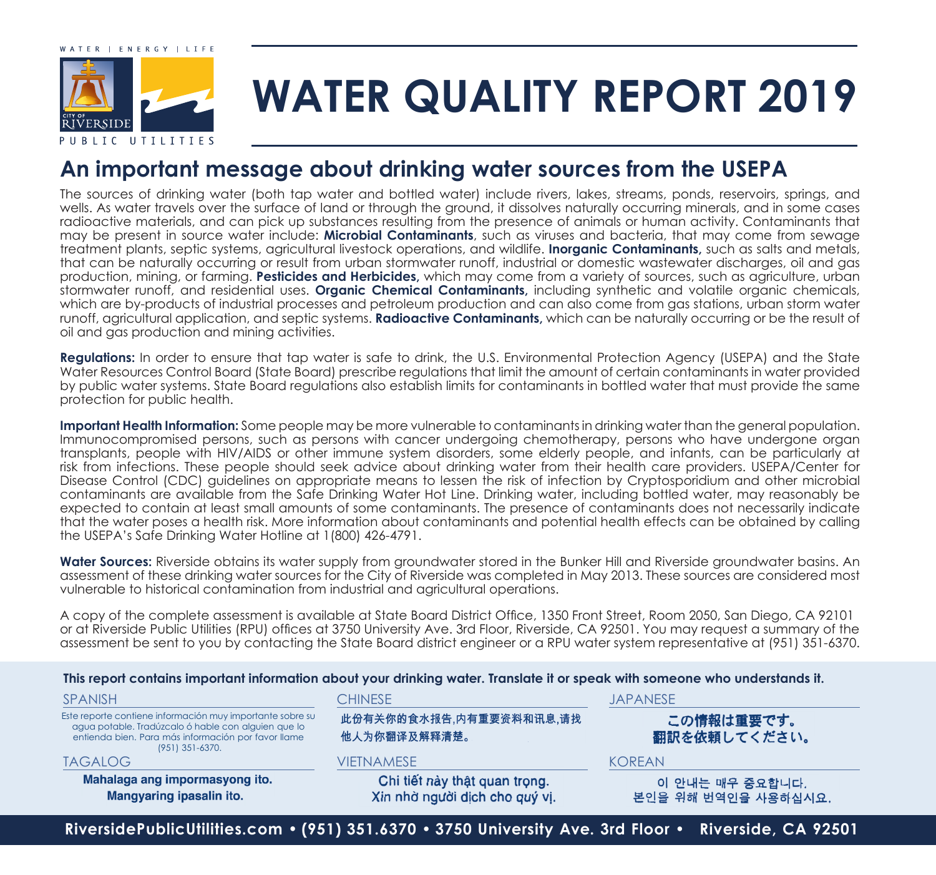

# **WATER QUALITY REPORT 2019**

### **An important message about drinking water sources from the USEPA**

The sources of drinking water (both tap water and bottled water) include rivers, lakes, streams, ponds, reservoirs, springs, and wells. As water travels over the surface of land or through the ground, it dissolves naturally occurring minerals, and in some cases radioactive materials, and can pick up substances resulting from the presence of animals or human activity. Contaminants that may be present in source water include: **Microbial Contaminants**, such as viruses and bacteria, that may come from sewage treatment plants, septic systems, agricultural livestock operations, and wildlife. **Inorganic Contaminants,** such as salts and metals, that can be naturally occurring or result from urban stormwater runoff, industrial or domestic wastewater discharges, oil and gas production, mining, or farming. **Pesticides and Herbicides,** which may come from a variety of sources, such as agriculture, urban stormwater runoff, and residential uses. **Organic Chemical Contaminants,** including synthetic and volatile organic chemicals, which are by-products of industrial processes and petroleum production and can also come from gas stations, urban storm water runoff, agricultural application, and septic systems. **Radioactive Contaminants,** which can be naturally occurring or be the result of oil and gas production and mining activities.

**Regulations:** In order to ensure that tap water is safe to drink, the U.S. Environmental Protection Agency (USEPA) and the State Water Resources Control Board (State Board) prescribe regulations that limit the amount of certain contaminants in water provided by public water systems. State Board regulations also establish limits for contaminants in bottled water that must provide the same protection for public health.

**Important Health Information:** Some people may be more vulnerable to contaminants in drinking water than the general population. Immunocompromised persons, such as persons with cancer undergoing chemotherapy, persons who have undergone organ transplants, people with HIV/AIDS or other immune system disorders, some elderly people, and infants, can be particularly at risk from infections. These people should seek advice about drinking water from their health care providers. USEPA/Center for Disease Control (CDC) guidelines on appropriate means to lessen the risk of infection by Cryptosporidium and other microbial contaminants are available from the Safe Drinking Water Hot Line. Drinking water, including bottled water, may reasonably be expected to contain at least small amounts of some contaminants. The presence of contaminants does not necessarily indicate that the water poses a health risk. More information about contaminants and potential health effects can be obtained by calling the USEPA's Safe Drinking Water Hotline at 1(800) 426-4791.

Water Sources: Riverside obtains its water supply from groundwater stored in the Bunker Hill and Riverside groundwater basins. An assessment of these drinking water sources for the City of Riverside was completed in May 2013. These sources are considered most vulnerable to historical contamination from industrial and agricultural operations.

A copy of the complete assessment is available at State Board District Office, 1350 Front Street, Room 2050, San Diego, CA 92101 or at Riverside Public Utilities (RPU) offices at 3750 University Ave. 3rd Floor, Riverside, CA 92501. You may request a summary of the assessment be sent to you by contacting the State Board district engineer or a RPU water system representative at (951) 351-6370.

#### **This report contains important information about your drinking water. Translate it or speak with someone who understands it.**

| <b>SPANISH</b>                                                                                                                                                                             | <b>CHINESE</b>                                                  | <b>JAPANESE</b>                        |  |  |  |  |
|--------------------------------------------------------------------------------------------------------------------------------------------------------------------------------------------|-----------------------------------------------------------------|----------------------------------------|--|--|--|--|
| Este reporte contiene información muy importante sobre su<br>agua potable. Tradúzcalo ó hable con alguien que lo<br>entienda bien. Para más información por favor llame<br>(951) 351-6370. | 此份有关你的食水报告,内有重要资料和讯息,请找<br>他人为你翻译及解释清楚。                         | この情報は重要です。<br>翻訳を依頼してください。             |  |  |  |  |
| <b>TAGALOG</b>                                                                                                                                                                             | <b>VIETNAMESE</b>                                               | <b>KOREAN</b>                          |  |  |  |  |
| Mahalaga ang impormasyong ito.<br>Mangyaring ipasalin ito.                                                                                                                                 | Chi tiết này thật quan trọng.<br>Xin nhờ người dịch cho quý vi. | 이 안내는 매우 중요합니다.<br>본인을 위해 번역인을 사용하십시요. |  |  |  |  |
| RiversidePublicUtilities.com • (951) 351.6370 • 3750 University Ave. 3rd Floor • Riverside, CA 92501                                                                                       |                                                                 |                                        |  |  |  |  |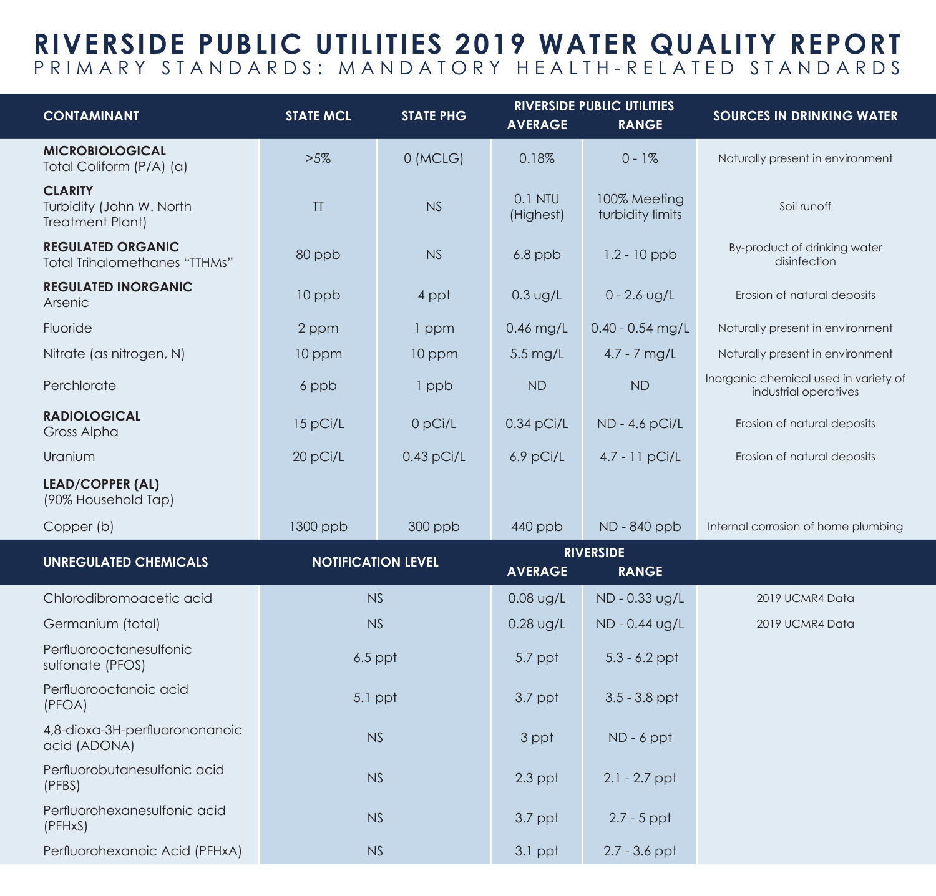## **RIVERSIDE PUBLIC UTILITIES 2019 WATER QUALITY REPORT** PRIMARY STANDARDS: MANDATORY HEALTH-RELATED STANDARDS

| <b>CONTAMINANT</b>                                                    | <b>STATE MCL</b>          | <b>STATE PHG</b> | <b>AVERAGE</b>         | <b>RIVERSIDE PUBLIC UTILITIES</b><br><b>RANGE</b> | <b>SOURCES IN DRINKING WATER</b>                               |
|-----------------------------------------------------------------------|---------------------------|------------------|------------------------|---------------------------------------------------|----------------------------------------------------------------|
| <b>MICROBIOLOGICAL</b><br>Total Coliform (P/A) (a)                    | $>5\%$                    | 0 (MCLG)         | 0.18%                  | $0 - 1%$                                          | Naturally present in environment                               |
| <b>CLARITY</b><br>Turbidity (John W. North<br><b>Treatment Plant)</b> | T                         | <b>NS</b>        | $0.1$ NTU<br>(Highest) | 100% Meeting<br>turbidity limits                  | Soil runoff                                                    |
| <b>REGULATED ORGANIC</b><br><b>Total Trihalomethanes "TTHMs"</b>      | 80 ppb                    | NS               | $6.8$ ppb              | $1.2 - 10$ ppb                                    | By-product of drinking water<br>disinfection                   |
| <b>REGULATED INORGANIC</b><br>Arsenic                                 | 10 ppb                    | 4 ppt            | $0.3$ ug/L             | $0 - 2.6$ ug/L                                    | Erosion of natural deposits                                    |
| Fluoride                                                              | 2 ppm                     | 1 ppm            | $0.46$ mg/L            | $0.40 - 0.54$ mg/L                                | Naturally present in environment                               |
| Nitrate (as nitrogen, N)                                              | 10 ppm                    | 10 ppm           | $5.5 \,\mathrm{mg/L}$  | $4.7 - 7$ mg/L                                    | Naturally present in environment                               |
| Perchlorate                                                           | 6 ppb                     | 1 ppb            | <b>ND</b>              | <b>ND</b>                                         | Inorganic chemical used in variety of<br>industrial operatives |
| <b>RADIOLOGICAL</b><br>Gross Alpha                                    | 15 pCi/L                  | 0 pCi/L          | $0.34$ pCi/L           | ND - 4.6 pCi/L                                    | Erosion of natural deposits                                    |
| Uranium                                                               | 20 pCi/L                  | $0.43$ pCi/L     | 6.9 pCi/L              | $4.7 - 11$ pCi/L                                  | Erosion of natural deposits                                    |
| <b>LEAD/COPPER (AL)</b><br>(90% Household Tap)                        |                           |                  |                        |                                                   |                                                                |
| Copper (b)                                                            | $1300$ ppb                | $300$ ppb        | $440$ ppb              | ND - 840 ppb                                      | Internal corrosion of home plumbing                            |
| <b>UNREGULATED CHEMICALS</b>                                          | <b>NOTIFICATION LEVEL</b> |                  | <b>RIVERSIDE</b>       |                                                   |                                                                |
|                                                                       |                           |                  | <b>AVERAGE</b>         | <b>RANGE</b>                                      |                                                                |
| Chlorodibromoacetic acid                                              | NS                        |                  | $0.08$ ug/L            | ND - 0.33 ug/L                                    | 2019 UCMR4 Data                                                |
| Germanium (total)                                                     | <b>NS</b>                 |                  | $0.28$ ug/L            | ND - 0.44 ug/L                                    | 2019 UCMR4 Data                                                |
| Perfluorooctanesulfonic<br>sulfonate (PFOS)                           | $6.5$ ppt                 |                  | 5.7 ppt                | $5.3 - 6.2$ ppt                                   |                                                                |
| Perfluorooctanoic acid<br>(PFOA)                                      | 5.1 ppt                   |                  | $3.7$ ppt              | $3.5 - 3.8$ ppt                                   |                                                                |
| 4,8-dioxa-3H-perfluorononanoic<br>acid (ADONA)                        | <b>NS</b>                 |                  | 3 ppt                  | $ND - 6$ ppt                                      |                                                                |
| Perfluorobutanesulfonic acid<br>(PFBS)                                | <b>NS</b>                 |                  | $2.3$ ppt              | $2.1 - 2.7$ ppt                                   |                                                                |
| Perfluorohexanesulfonic acid<br>(PFHxS)                               | <b>NS</b>                 |                  | $3.7$ ppt              | $2.7 - 5$ ppt                                     |                                                                |
| Perfluorohexanoic Acid (PFHxA)                                        | NS                        |                  | $3.1$ ppt              | $2.7 - 3.6$ ppt                                   |                                                                |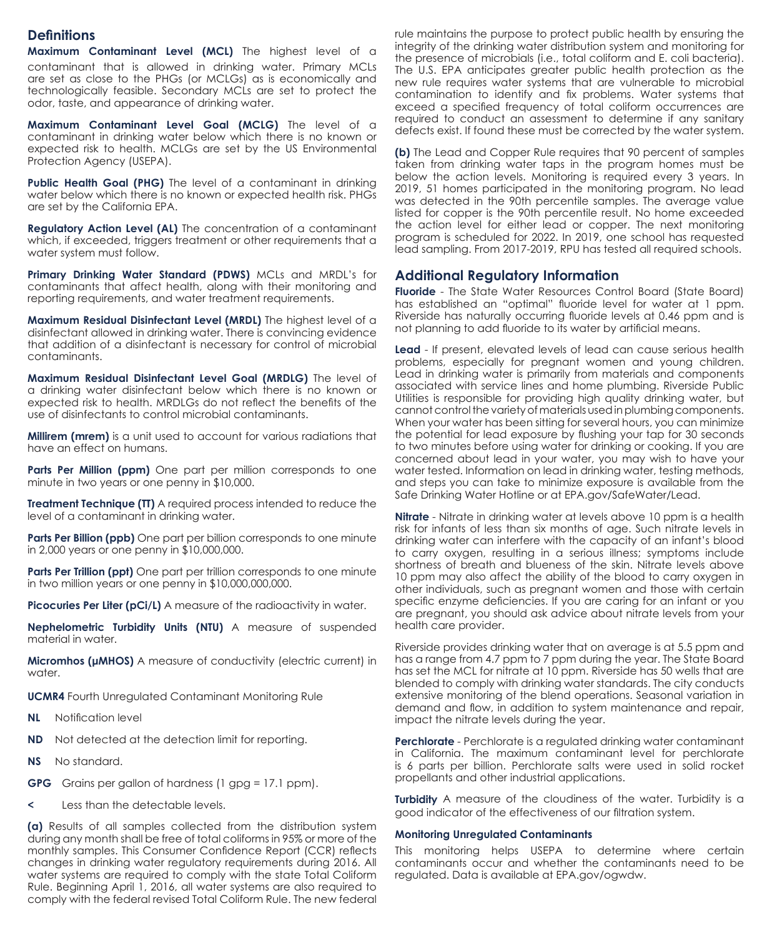#### **Definitions**

**Maximum Contaminant Level (MCL)** The highest level of a contaminant that is allowed in drinking water. Primary MCLs are set as close to the PHGs (or MCLGs) as is economically and technologically feasible. Secondary MCLs are set to protect the odor, taste, and appearance of drinking water.

**Maximum Contaminant Level Goal (MCLG)** The level of a contaminant in drinking water below which there is no known or expected risk to health. MCLGs are set by the US Environmental Protection Agency (USEPA).

Public Health Goal (PHG) The level of a contaminant in drinking water below which there is no known or expected health risk. PHGs are set by the California EPA.

**Regulatory Action Level (AL)** The concentration of a contaminant which, if exceeded, triggers treatment or other requirements that a water system must follow.

**Primary Drinking Water Standard (PDWS)** MCLs and MRDL's for contaminants that affect health, along with their monitoring and reporting requirements, and water treatment requirements.

**Maximum Residual Disinfectant Level (MRDL)** The highest level of a disinfectant allowed in drinking water. There is convincing evidence that addition of a disinfectant is necessary for control of microbial contaminants.

**Maximum Residual Disinfectant Level Goal (MRDLG)** The level of a drinking water disinfectant below which there is no known or expected risk to health. MRDLGs do not reflect the benefits of the use of disinfectants to control microbial contaminants.

**Millirem (mrem)** is a unit used to account for various radiations that have an effect on humans.

**Parts Per Million (ppm)** One part per million corresponds to one minute in two years or one penny in \$10,000.

**Treatment Technique (TT)** A required process intended to reduce the level of a contaminant in drinking water.

**Parts Per Billion (ppb)** One part per billion corresponds to one minute in 2,000 years or one penny in \$10,000,000.

Parts Per Trillion (ppt) One part per trillion corresponds to one minute in two million years or one penny in \$10,000,000,000.

**Picocuries Per Liter (pCi/L)** A measure of the radioactivity in water.

**Nephelometric Turbidity Units (NTU)** A measure of suspended material in water.

**Micromhos (μMHOS)** A measure of conductivity (electric current) in water.

**UCMR4** Fourth Unregulated Contaminant Monitoring Rule

- **NL** Notification level
- **ND** Not detected at the detection limit for reporting.
- **NS** No standard.

**GPG** Grains per gallon of hardness (1 gpg = 17.1 ppm).

Less than the detectable levels.

**(a)** Results of all samples collected from the distribution system during any month shall be free of total coliforms in 95% or more of the monthly samples. This Consumer Confidence Report (CCR) reflects changes in drinking water regulatory requirements during 2016. All water systems are required to comply with the state Total Coliform Rule. Beginning April 1, 2016, all water systems are also required to comply with the federal revised Total Coliform Rule. The new federal

rule maintains the purpose to protect public health by ensuring the integrity of the drinking water distribution system and monitoring for the presence of microbials (i.e., total coliform and E. coli bacteria). The U.S. EPA anticipates greater public health protection as the new rule requires water systems that are vulnerable to microbial contamination to identify and fix problems. Water systems that exceed a specified frequency of total coliform occurrences are required to conduct an assessment to determine if any sanitary defects exist. If found these must be corrected by the water system.

**(b)** The Lead and Copper Rule requires that 90 percent of samples taken from drinking water taps in the program homes must be below the action levels. Monitoring is required every 3 years. In 2019, 51 homes participated in the monitoring program. No lead was detected in the 90th percentile samples. The average value listed for copper is the 90th percentile result. No home exceeded the action level for either lead or copper. The next monitoring program is scheduled for 2022. In 2019, one school has requested lead sampling. From 2017-2019, RPU has tested all required schools.

#### **Additional Regulatory Information**

**Fluoride** - The State Water Resources Control Board (State Board) has established an "optimal" fluoride level for water at 1 ppm. Riverside has naturally occurring fluoride levels at 0.46 ppm and is not planning to add fluoride to its water by artificial means.

**Lead** - If present, elevated levels of lead can cause serious health problems, especially for pregnant women and young children. Lead in drinking water is primarily from materials and components associated with service lines and home plumbing. Riverside Public Utilities is responsible for providing high quality drinking water, but cannot control the variety of materials used in plumbing components. When your water has been sitting for several hours, you can minimize the potential for lead exposure by flushing your tap for 30 seconds to two minutes before using water for drinking or cooking. If you are concerned about lead in your water, you may wish to have your water tested. Information on lead in drinking water, testing methods, and steps you can take to minimize exposure is available from the Safe Drinking Water Hotline or at EPA.gov/SafeWater/Lead.

**Nitrate** - Nitrate in drinking water at levels above 10 ppm is a health risk for infants of less than six months of age. Such nitrate levels in drinking water can interfere with the capacity of an infant's blood to carry oxygen, resulting in a serious illness; symptoms include shortness of breath and blueness of the skin. Nitrate levels above 10 ppm may also affect the ability of the blood to carry oxygen in other individuals, such as pregnant women and those with certain specific enzyme deficiencies. If you are caring for an infant or you are pregnant, you should ask advice about nitrate levels from your health care provider.

Riverside provides drinking water that on average is at 5.5 ppm and has a range from 4.7 ppm to 7 ppm during the year. The State Board has set the MCL for nitrate at 10 ppm. Riverside has 50 wells that are blended to comply with drinking water standards. The city conducts extensive monitoring of the blend operations. Seasonal variation in demand and flow, in addition to system maintenance and repair, impact the nitrate levels during the year.

**Perchlorate** - Perchlorate is a regulated drinking water contaminant in California. The maximum contaminant level for perchlorate is 6 parts per billion. Perchlorate salts were used in solid rocket propellants and other industrial applications.

**Turbidity** A measure of the cloudiness of the water. Turbidity is a good indicator of the effectiveness of our filtration system.

#### **Monitoring Unregulated Contaminants**

This monitoring helps USEPA to determine where certain contaminants occur and whether the contaminants need to be regulated. Data is available at EPA.gov/ogwdw.